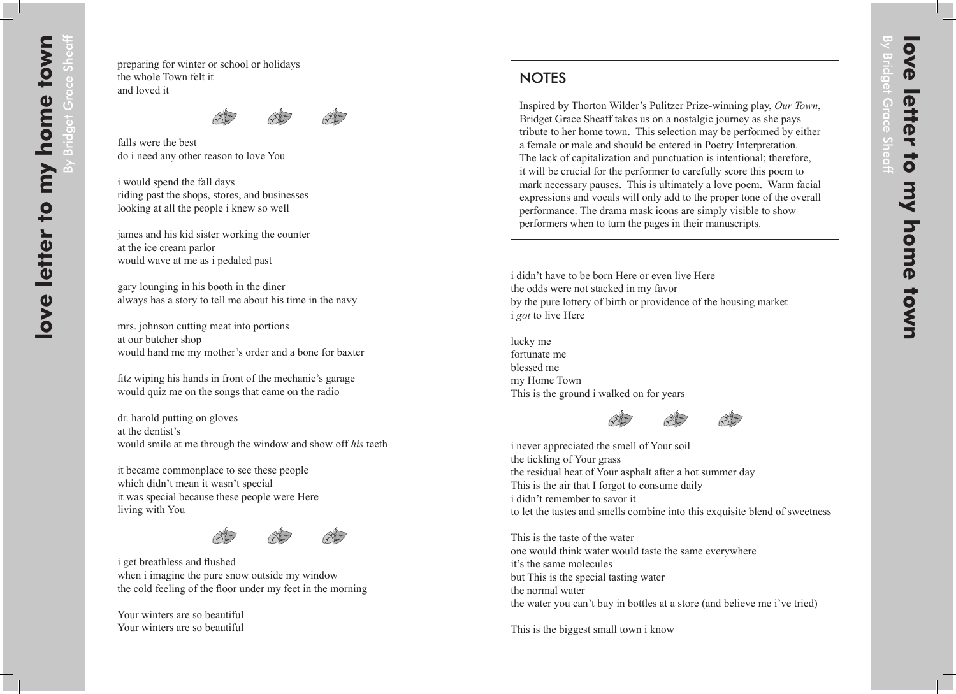By Bridget

Sheaff

## **NOTES**

Inspired by Thorton Wilder's Pulitzer Prize-winning play, *Our Town*, Bridget Grace Sheaff takes us on a nostalgic journey as she pays tribute to her home town. This selection may be performed by either a female or male and should be entered in Poetry Interpretation. The lack of capitalization and punctuation is intentional; therefore, it will be crucial for the performer to carefully score this poem to mark necessary pauses. This is ultimately a love poem. Warm facial expressions and vocals will only add to the proper tone of the overall performance. The drama mask icons are simply visible to show performers when to turn the pages in their manuscripts.

i didn't have to be born Here or even live Here the odds were not stacked in my favor by the pure lottery of birth or providence of the housing market i *got* to live Here

lucky me fortunate me blessed me my Home Town This is the ground i walked on for years





i never appreciated the smell of Your soil the tickling of Your grass the residual heat of Your asphalt after a hot summer day This is the air that I forgot to consume daily i didn't remember to savor it to let the tastes and smells combine into this exquisite blend of sweetness

This is the taste of the water one would think water would taste the same everywhere it's the same molecules but This is the special tasting water the normal water the water you can't buy in bottles at a store (and believe me i've tried)

This is the biggest small town i know